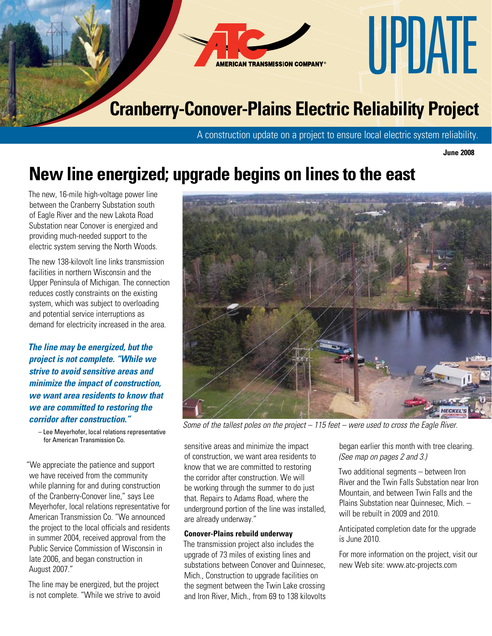

A construction update on a project to ensure local electric system reliability.

**June 2008**

## **New line energized; upgrade begins on lines to the east**

The new, 16-mile high-voltage power line between the Cranberry Substation south of Eagle River and the new Lakota Road Substation near Conover is energized and providing much-needed support to the electric system serving the North Woods.

The new 138-kilovolt line links transmission facilities in northern Wisconsin and the Upper Peninsula of Michigan. The connection reduces costly constraints on the existing system, which was subject to overloading and potential service interruptions as demand for electricity increased in the area.

*The line may be energized, but the project is not complete. "While we strive to avoid sensitive areas and minimize the impact of construction, we want area residents to know that we are committed to restoring the corridor after construction."*

 – Lee Meyerhofer, local relations representative for American Transmission Co.

"We appreciate the patience and support we have received from the community while planning for and during construction of the Cranberry-Conover line," says Lee Meyerhofer, local relations representative for American Transmission Co. "We announced the project to the local officials and residents in summer 2004, received approval from the Public Service Commission of Wisconsin in late 2006, and began construction in August 2007."

The line may be energized, but the project is not complete. "While we strive to avoid



*Some of the tallest poles on the project – 115 feet – were used to cross the Eagle River.*

sensitive areas and minimize the impact of construction, we want area residents to know that we are committed to restoring the corridor after construction. We will be working through the summer to do just that. Repairs to Adams Road, where the underground portion of the line was installed, are already underway."

## **Conover-Plains rebuild underway**

The transmission project also includes the upgrade of 73 miles of existing lines and substations between Conover and Quinnesec, Mich., Construction to upgrade facilities on the segment between the Twin Lake crossing and Iron River, Mich., from 69 to 138 kilovolts

began earlier this month with tree clearing. *(See map on pages 2 and 3.)*

Two additional segments – between Iron River and the Twin Falls Substation near Iron Mountain, and between Twin Falls and the Plains Substation near Quinnesec, Mich. – will be rebuilt in 2009 and 2010.

Anticipated completion date for the upgrade is June 2010.

For more information on the project, visit our new Web site: www.atc-projects.com